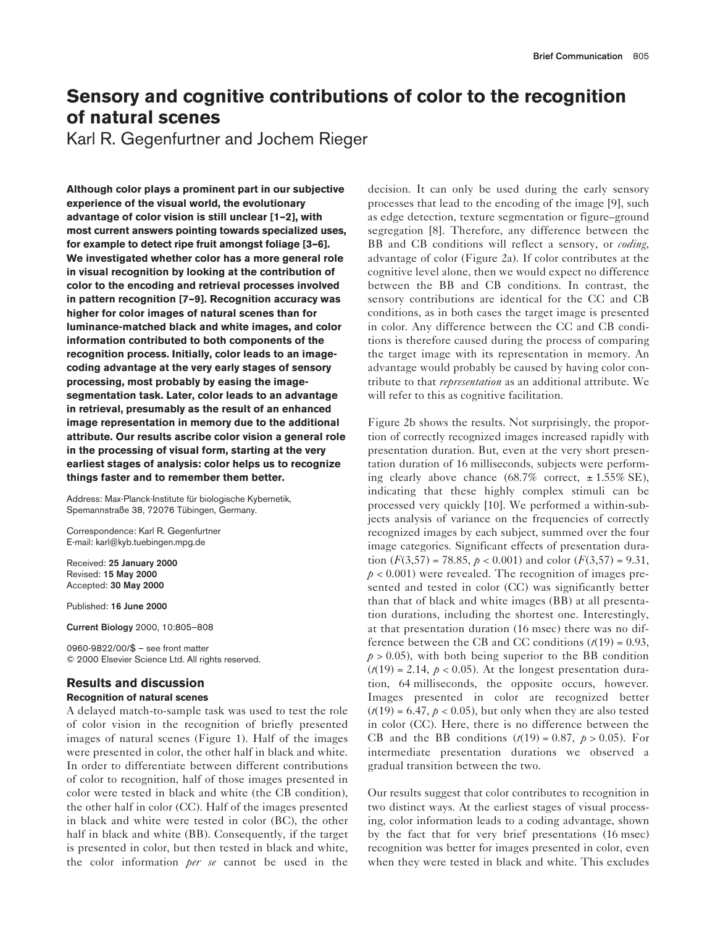# **Sensory and cognitive contributions of color to the recognition of natural scenes**

Karl R. Gegenfurtner and Jochem Rieger

**Although color plays a prominent part in our subjective experience of the visual world, the evolutionary advantage of color vision is still unclear [1–2], with most current answers pointing towards specialized uses, for example to detect ripe fruit amongst foliage [3–6]. We investigated whether color has a more general role in visual recognition by looking at the contribution of color to the encoding and retrieval processes involved in pattern recognition [7–9]. Recognition accuracy was higher for color images of natural scenes than for luminance-matched black and white images, and color information contributed to both components of the recognition process. Initially, color leads to an imagecoding advantage at the very early stages of sensory processing, most probably by easing the imagesegmentation task. Later, color leads to an advantage in retrieval, presumably as the result of an enhanced image representation in memory due to the additional attribute. Our results ascribe color vision a general role in the processing of visual form, starting at the very earliest stages of analysis: color helps us to recognize things faster and to remember them better.** 

Address: Max-Planck-Institute für biologische Kybernetik, Spemannstraße 38, 72076 Tübingen, Germany.

Correspondence: Karl R. Gegenfurtner E-mail: karl@kyb.tuebingen.mpg.de

Received: **25 January 2000** Revised: **15 May 2000** Accepted: **30 May 2000**

Published: **16 June 2000**

**Current Biology** 2000, 10:805–808

0960-9822/00/\$ – see front matter © 2000 Elsevier Science Ltd. All rights reserved.

# **Results and discussion**

#### **Recognition of natural scenes**

A delayed match-to-sample task was used to test the role of color vision in the recognition of briefly presented images of natural scenes (Figure 1). Half of the images were presented in color, the other half in black and white. In order to differentiate between different contributions of color to recognition, half of those images presented in color were tested in black and white (the CB condition), the other half in color (CC). Half of the images presented in black and white were tested in color (BC), the other half in black and white (BB). Consequently, if the target is presented in color, but then tested in black and white, the color information *per se* cannot be used in the

decision. It can only be used during the early sensory processes that lead to the encoding of the image [9], such as edge detection, texture segmentation or figure–ground segregation [8]. Therefore, any difference between the BB and CB conditions will reflect a sensory, or *coding*, advantage of color (Figure 2a). If color contributes at the cognitive level alone, then we would expect no difference between the BB and CB conditions. In contrast, the sensory contributions are identical for the CC and CB conditions, as in both cases the target image is presented in color. Any difference between the CC and CB conditions is therefore caused during the process of comparing the target image with its representation in memory. An advantage would probably be caused by having color contribute to that *representation* as an additional attribute. We will refer to this as cognitive facilitation.

Figure 2b shows the results. Not surprisingly, the proportion of correctly recognized images increased rapidly with presentation duration. But, even at the very short presentation duration of 16 milliseconds, subjects were performing clearly above chance  $(68.7\% \text{ correct}, \pm 1.55\% \text{ SE})$ , indicating that these highly complex stimuli can be processed very quickly [10]. We performed a within-subjects analysis of variance on the frequencies of correctly recognized images by each subject, summed over the four image categories. Significant effects of presentation duration  $(F(3,57) = 78.85, p < 0.001)$  and color  $(F(3,57) = 9.31,$  $p < 0.001$ ) were revealed. The recognition of images presented and tested in color (CC) was significantly better than that of black and white images (BB) at all presentation durations, including the shortest one. Interestingly, at that presentation duration (16 msec) there was no difference between the CB and CC conditions  $(t(19) = 0.93$ ,  $p > 0.05$ , with both being superior to the BB condition  $(t(19) = 2.14, p < 0.05)$ . At the longest presentation duration, 64 milliseconds, the opposite occurs, however. Images presented in color are recognized better  $(t(19) = 6.47, p < 0.05)$ , but only when they are also tested in color (CC). Here, there is no difference between the CB and the BB conditions  $(t(19) = 0.87, p > 0.05)$ . For intermediate presentation durations we observed a gradual transition between the two.

Our results suggest that color contributes to recognition in two distinct ways. At the earliest stages of visual processing, color information leads to a coding advantage, shown by the fact that for very brief presentations (16 msec) recognition was better for images presented in color, even when they were tested in black and white. This excludes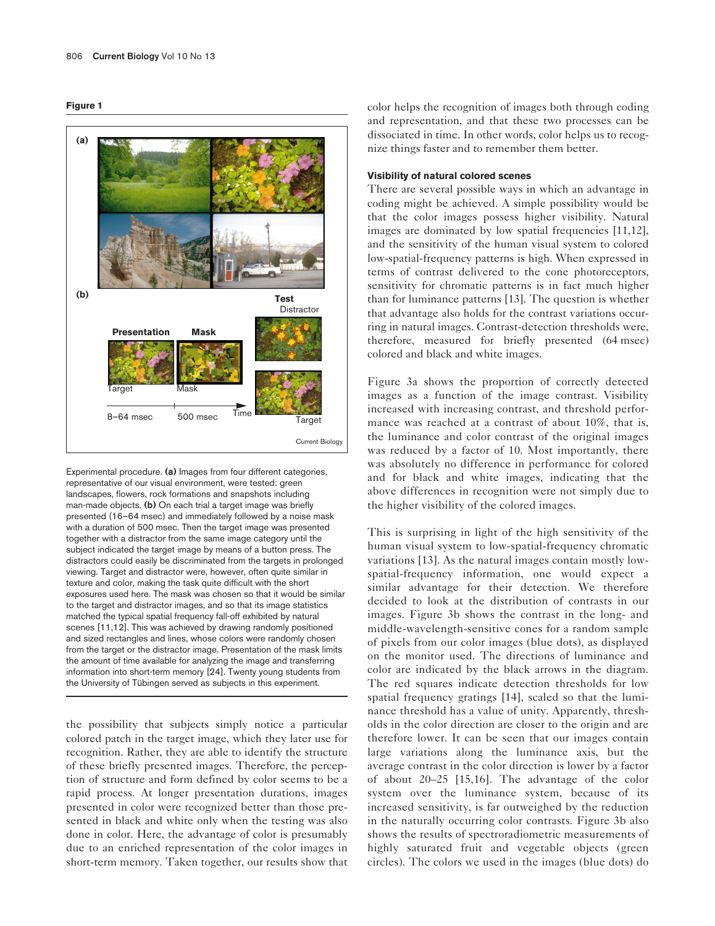



Experimental procedure. **(a)** Images from four different categories, representative of our visual environment, were tested: green landscapes, flowers, rock formations and snapshots including man-made objects. **(b)** On each trial a target image was briefly presented (16–64 msec) and immediately followed by a noise mask with a duration of 500 msec. Then the target image was presented together with a distractor from the same image category until the subject indicated the target image by means of a button press. The distractors could easily be discriminated from the targets in prolonged viewing. Target and distractor were, however, often quite similar in texture and color, making the task quite difficult with the short exposures used here. The mask was chosen so that it would be similar to the target and distractor images, and so that its image statistics matched the typical spatial frequency fall-off exhibited by natural scenes [11,12]. This was achieved by drawing randomly positioned and sized rectangles and lines, whose colors were randomly chosen from the target or the distractor image. Presentation of the mask limits the amount of time available for analyzing the image and transferring information into short-term memory [24]. Twenty young students from the University of Tübingen served as subjects in this experiment.

the possibility that subjects simply notice a particular colored patch in the target image, which they later use for recognition. Rather, they are able to identify the structure of these briefly presented images. Therefore, the perception of structure and form defined by color seems to be a rapid process. At longer presentation durations, images presented in color were recognized better than those presented in black and white only when the testing was also done in color. Here, the advantage of color is presumably due to an enriched representation of the color images in short-term memory. Taken together, our results show that

color helps the recognition of images both through coding and representation, and that these two processes can be dissociated in time. In other words, color helps us to recognize things faster and to remember them better.

### **Visibility of natural colored scenes**

There are several possible ways in which an advantage in coding might be achieved. A simple possibility would be that the color images possess higher visibility. Natural images are dominated by low spatial frequencies [11,12], and the sensitivity of the human visual system to colored low-spatial-frequency patterns is high. When expressed in terms of contrast delivered to the cone photoreceptors, sensitivity for chromatic patterns is in fact much higher than for luminance patterns [13]. The question is whether that advantage also holds for the contrast variations occurring in natural images. Contrast-detection thresholds were, therefore, measured for briefly presented (64 msec) colored and black and white images.

Figure 3a shows the proportion of correctly detected images as a function of the image contrast. Visibility increased with increasing contrast, and threshold performance was reached at a contrast of about 10%, that is, the luminance and color contrast of the original images was reduced by a factor of 10. Most importantly, there was absolutely no difference in performance for colored and for black and white images, indicating that the above differences in recognition were not simply due to the higher visibility of the colored images.

This is surprising in light of the high sensitivity of the human visual system to low-spatial-frequency chromatic variations [13]. As the natural images contain mostly lowspatial-frequency information, one would expect a similar advantage for their detection. We therefore decided to look at the distribution of contrasts in our images. Figure 3b shows the contrast in the long- and middle-wavelength-sensitive cones for a random sample of pixels from our color images (blue dots), as displayed on the monitor used. The directions of luminance and color are indicated by the black arrows in the diagram. The red squares indicate detection thresholds for low spatial frequency gratings [14], scaled so that the luminance threshold has a value of unity. Apparently, thresholds in the color direction are closer to the origin and are therefore lower. It can be seen that our images contain large variations along the luminance axis, but the average contrast in the color direction is lower by a factor of about 20–25 [15,16]. The advantage of the color system over the luminance system, because of its increased sensitivity, is far outweighed by the reduction in the naturally occurring color contrasts. Figure 3b also shows the results of spectroradiometric measurements of highly saturated fruit and vegetable objects (green circles). The colors we used in the images (blue dots) do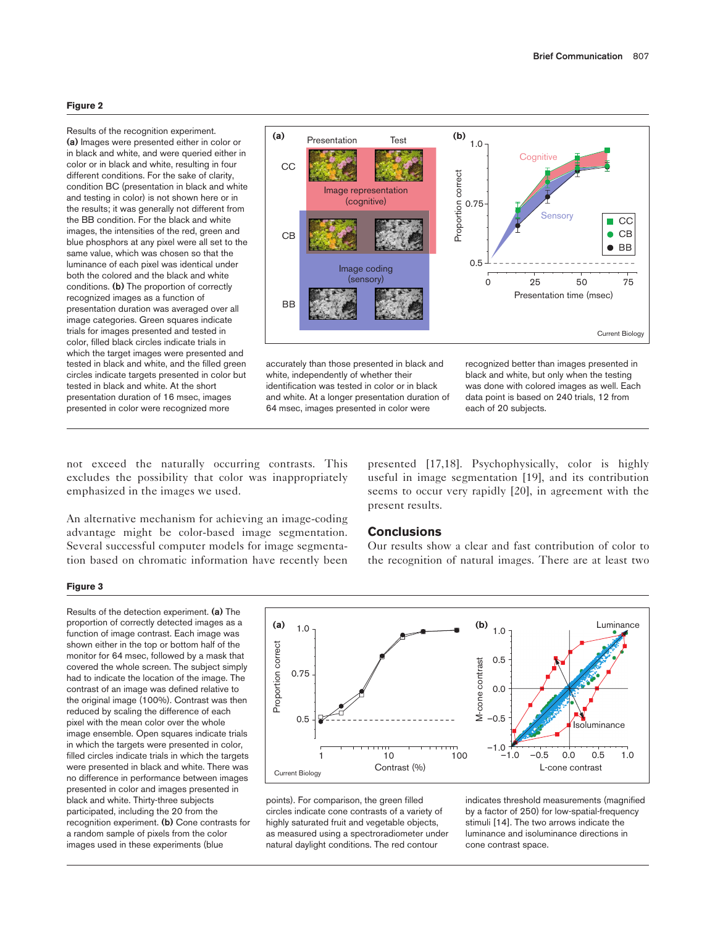#### **Figure 2**

Results of the recognition experiment. **(a)** Images were presented either in color or in black and white, and were queried either in color or in black and white, resulting in four different conditions. For the sake of clarity, condition BC (presentation in black and white and testing in color) is not shown here or in the results; it was generally not different from the BB condition. For the black and white images, the intensities of the red, green and blue phosphors at any pixel were all set to the same value, which was chosen so that the luminance of each pixel was identical under both the colored and the black and white conditions. **(b)** The proportion of correctly recognized images as a function of presentation duration was averaged over all image categories. Green squares indicate trials for images presented and tested in color, filled black circles indicate trials in which the target images were presented and tested in black and white, and the filled green circles indicate targets presented in color but tested in black and white. At the short presentation duration of 16 msec, images presented in color were recognized more



accurately than those presented in black and white, independently of whether their identification was tested in color or in black and white. At a longer presentation duration of 64 msec, images presented in color were

recognized better than images presented in black and white, but only when the testing was done with colored images as well. Each data point is based on 240 trials, 12 from each of 20 subjects.

not exceed the naturally occurring contrasts. This excludes the possibility that color was inappropriately emphasized in the images we used.

An alternative mechanism for achieving an image-coding advantage might be color-based image segmentation. Several successful computer models for image segmentation based on chromatic information have recently been

presented [17,18]. Psychophysically, color is highly useful in image segmentation [19], and its contribution seems to occur very rapidly [20], in agreement with the present results.

## **Conclusions**

Our results show a clear and fast contribution of color to the recognition of natural images. There are at least two

#### **Figure 3**

Results of the detection experiment. **(a)** The proportion of correctly detected images as a function of image contrast. Each image was shown either in the top or bottom half of the monitor for 64 msec, followed by a mask that covered the whole screen. The subject simply had to indicate the location of the image. The contrast of an image was defined relative to the original image (100%). Contrast was then reduced by scaling the difference of each pixel with the mean color over the whole image ensemble. Open squares indicate trials in which the targets were presented in color, filled circles indicate trials in which the targets were presented in black and white. There was no difference in performance between images presented in color and images presented in black and white. Thirty-three subjects participated, including the 20 from the recognition experiment. **(b)** Cone contrasts for a random sample of pixels from the color images used in these experiments (blue



points). For comparison, the green filled circles indicate cone contrasts of a variety of highly saturated fruit and vegetable objects, as measured using a spectroradiometer under natural daylight conditions. The red contour

indicates threshold measurements (magnified by a factor of 250) for low-spatial-frequency stimuli [14]. The two arrows indicate the luminance and isoluminance directions in cone contrast space.